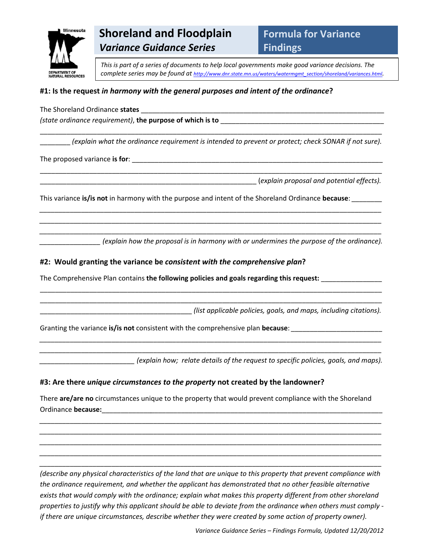

# **Shoreland and Floodplain** *Variance Guidance Series*

**Formula for Variance Findings**

*This is part of a series of documents to help local governments make good variance decisions. The complete series may be found at http://www.dnr.state.mn.us/waters/watermgmt\_section/shoreland/variances.html.*

# **#1: Is the request** *in harmony with the general purposes and intent of the ordinance***?**

The Shoreland Ordinance **states** \_\_\_\_\_\_\_\_\_\_\_\_\_\_\_\_\_\_\_\_\_\_\_\_\_\_\_\_\_\_\_\_\_\_\_\_\_\_\_\_\_\_\_\_\_\_\_\_\_\_\_\_\_\_\_\_\_\_\_\_\_\_\_\_

*(state ordinance requirement)*, **the purpose of which is to** \_\_\_\_\_\_\_\_\_\_\_\_\_\_\_\_\_\_\_\_\_\_\_\_\_\_\_\_\_\_\_\_\_\_\_\_\_\_\_\_\_\_\_

\_\_\_\_\_\_\_\_ *(explain what the ordinance requirement is intended to prevent or protect; check SONAR if not sure).*

\_\_\_\_\_\_\_\_\_\_\_\_\_\_\_\_\_\_\_\_\_\_\_\_\_\_\_\_\_\_\_\_\_\_\_\_\_\_\_\_\_\_\_\_\_\_\_\_\_\_\_\_\_\_\_\_\_\_\_\_\_\_\_\_\_\_\_\_\_\_\_\_\_\_\_\_\_\_\_\_\_\_\_\_\_\_\_\_\_\_

\_\_\_\_\_\_\_\_\_\_\_\_\_\_\_\_\_\_\_\_\_\_\_\_\_\_\_\_\_\_\_\_\_\_\_\_\_\_\_\_\_\_\_\_\_\_\_\_\_\_\_\_\_\_\_\_\_\_\_\_\_\_\_\_\_\_\_\_\_\_\_\_\_\_\_\_\_\_\_\_\_\_\_\_\_\_\_\_\_\_

*\_\_\_\_\_\_\_\_\_\_\_\_\_\_\_\_\_\_\_\_\_\_\_\_\_\_\_\_\_\_\_\_\_\_\_\_\_\_\_\_\_\_\_\_\_\_\_\_\_\_\_\_\_\_\_\_\_\_\_\_\_\_\_\_\_\_\_\_\_\_\_\_\_\_\_\_\_\_\_\_\_\_\_\_\_\_\_\_\_\_ \_\_\_\_\_\_\_\_\_\_\_\_\_\_\_\_\_\_\_\_\_\_\_\_\_\_\_\_\_\_\_\_\_\_\_\_\_\_\_\_\_\_\_\_\_\_\_\_\_\_\_\_\_\_\_\_\_\_\_\_\_\_\_\_\_\_\_\_\_\_\_\_\_\_\_\_\_\_\_\_\_\_\_\_\_\_\_\_\_\_ \_\_\_\_\_\_\_\_\_\_\_\_\_\_\_\_\_\_\_\_\_\_\_\_\_\_\_\_\_\_\_\_\_\_\_\_\_\_\_\_\_\_\_\_\_\_\_\_\_\_\_\_\_\_\_\_\_\_\_\_\_\_\_\_\_\_\_\_\_\_\_\_\_\_\_\_\_\_\_\_\_\_\_\_\_\_\_\_\_\_*

\_\_\_\_\_\_\_\_\_\_\_\_\_\_\_\_\_\_\_\_\_\_\_\_\_\_\_\_\_\_\_\_\_\_\_\_\_\_\_\_\_\_\_\_\_\_\_\_\_\_\_\_\_\_\_\_\_\_\_\_\_\_\_\_\_\_\_\_\_\_\_\_\_\_\_\_\_\_\_\_\_\_\_\_\_\_\_\_\_\_ \_\_\_\_\_\_\_\_\_\_\_\_\_\_\_\_\_\_\_\_\_\_\_\_\_\_\_\_\_\_\_\_\_\_\_\_\_\_\_\_\_\_\_\_\_\_\_\_\_\_\_\_\_\_\_\_\_\_\_\_\_\_\_\_\_\_\_\_\_\_\_\_\_\_\_\_\_\_\_\_\_\_\_\_\_\_\_\_\_\_

*\_\_\_\_\_\_\_\_\_\_\_\_\_\_\_\_\_\_\_\_\_\_\_\_\_\_\_\_\_\_\_\_\_\_\_\_\_\_\_\_\_\_\_\_\_\_\_\_\_\_\_\_\_\_\_\_\_\_\_\_\_\_\_\_\_\_\_\_\_\_\_\_\_\_\_\_\_\_\_\_\_\_\_\_\_\_\_\_\_\_ \_\_\_\_\_\_\_\_\_\_\_\_\_\_\_\_\_\_\_\_\_\_\_\_\_\_\_\_\_\_\_\_\_\_\_\_\_\_\_\_\_\_\_\_\_\_\_\_\_\_\_\_\_\_\_\_\_\_\_\_\_\_\_\_\_\_\_\_\_\_\_\_\_\_\_\_\_\_\_\_\_\_\_\_\_\_\_\_\_\_*

The proposed variance **is for**: \_\_\_\_\_\_\_\_\_\_\_\_\_\_\_\_\_\_\_\_\_\_\_\_\_\_\_\_\_\_\_\_\_\_\_\_\_\_\_\_\_\_\_\_\_\_\_\_\_\_\_\_\_\_\_\_\_\_\_\_\_\_\_\_\_\_

\_\_\_\_\_\_\_\_\_\_\_\_\_\_\_\_\_\_\_\_\_\_\_\_\_\_\_\_\_\_\_\_\_\_\_\_\_\_\_\_\_\_\_\_\_\_\_\_\_\_\_\_\_\_\_\_\_ (*explain proposal and potential effects).*

This variance **is/is not** in harmony with the purpose and intent of the Shoreland Ordinance **because**: *\_\_\_\_\_\_\_\_*

*\_\_\_\_\_\_\_\_\_\_\_\_\_\_\_\_ (explain how the proposal is in harmony with or undermines the purpose of the ordinance).*

## **#2: Would granting the variance be** *consistent with the comprehensive plan***?**

The Comprehensive Plan contains **the following policies and goals regarding this request:** \_\_\_\_\_\_\_\_\_\_\_\_\_\_\_\_

\_\_\_\_\_\_\_\_\_\_\_\_\_\_\_\_\_\_\_\_\_\_\_\_\_\_\_\_\_\_\_\_\_\_\_\_\_\_\_\_ *(list applicable policies, goals, and maps, including citations).*

Granting the variance **is/is not** consistent with the comprehensive plan **because**: *\_\_\_\_\_\_\_\_\_\_\_\_\_\_\_\_\_\_\_\_\_\_\_\_*

*\_\_\_\_\_\_\_\_\_\_\_\_\_\_\_\_\_\_\_\_\_\_\_\_\_ (explain how; relate details of the request to specific policies, goals, and maps).*

#### **#3: Are there** *unique circumstances to the property* **not created by the landowner?**

There **are/are no** circumstances unique to the property that would prevent compliance with the Shoreland Ordinance **because:**\_\_\_\_\_\_\_\_\_\_\_\_\_*\_\_\_\_\_\_\_\_\_\_\_\_\_\_\_\_\_\_\_\_\_\_\_\_\_\_\_\_\_\_\_\_\_\_\_\_\_\_\_\_\_\_\_\_\_\_\_\_\_\_\_\_\_\_\_\_\_\_\_\_\_*

*\_\_\_\_\_\_\_\_\_\_\_\_\_\_\_\_\_\_\_\_\_\_\_\_\_\_\_\_\_\_\_\_\_\_\_\_\_\_\_\_\_\_\_\_\_\_\_\_\_\_\_\_\_\_\_\_\_\_\_\_\_\_\_\_\_\_\_\_\_\_\_\_\_\_\_\_\_\_\_\_\_\_\_\_\_\_\_\_\_\_ \_\_\_\_\_\_\_\_\_\_\_\_\_\_\_\_\_\_\_\_\_\_\_\_\_\_\_\_\_\_\_\_\_\_\_\_\_\_\_\_\_\_\_\_\_\_\_\_\_\_\_\_\_\_\_\_\_\_\_\_\_\_\_\_\_\_\_\_\_\_\_\_\_\_\_\_\_\_\_\_\_\_\_\_\_\_\_\_\_\_ \_\_\_\_\_\_\_\_\_\_\_\_\_\_\_\_\_\_\_\_\_\_\_\_\_\_\_\_\_\_\_\_\_\_\_\_\_\_\_\_\_\_\_\_\_\_\_\_\_\_\_\_\_\_\_\_\_\_\_\_\_\_\_\_\_\_\_\_\_\_\_\_\_\_\_\_\_\_\_\_\_\_\_\_\_\_\_\_\_\_ \_\_\_\_\_\_\_\_\_\_\_\_\_\_\_\_\_\_\_\_\_\_\_\_\_\_\_\_\_\_\_\_\_\_\_\_\_\_\_\_\_\_\_\_\_\_\_\_\_\_\_\_\_\_\_\_\_\_\_\_\_\_\_\_\_\_\_\_\_\_\_\_\_\_\_\_\_\_\_\_\_\_\_\_\_\_\_\_\_\_ \_\_\_\_\_\_\_\_\_\_\_\_\_\_\_\_\_\_\_\_\_\_\_\_\_\_\_\_\_\_\_\_\_\_\_\_\_\_\_\_\_\_\_\_\_\_\_\_\_\_\_\_\_\_\_\_\_\_\_\_\_\_\_\_\_\_\_\_\_\_\_\_\_\_\_\_\_\_\_\_\_\_\_\_\_\_\_\_\_\_*

(describe any physical characteristics of the land that are unique to this property that prevent compliance with *the ordinance requirement, and whether the applicant has demonstrated that no other feasible alternative exists that would comply with the ordinance; explain what makes this property different from other shoreland* properties to justify why this applicant should be able to deviate from the ordinance when others must comply *if there are unique circumstances, describe whether they were created by some action of property owner).*

Variance Guidance Series - Findings Formula, Updated 12/20/2012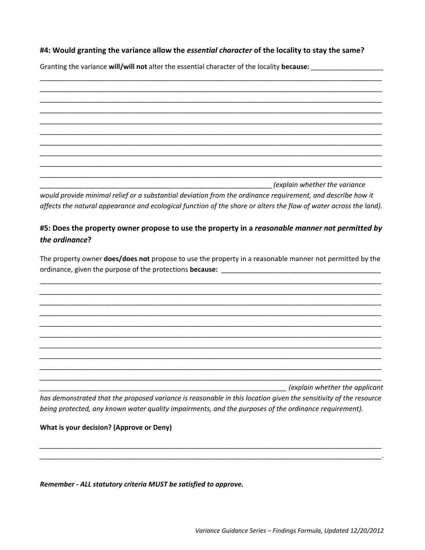## #4: Would granting the variance allow the essential character of the locality to stay the same?

Granting the variance will/will not alter the essential character of the locality because:

(explain whether the variance

would provide minimal relief or a substantial deviation from the ordinance requirement, and describe how it affects the natural appearance and ecological function of the shore or alters the flow of water across the land).

# #5: Does the property owner propose to use the property in a reasonable manner not permitted by the ordinance?

The property owner does/does not propose to use the property in a reasonable manner not permitted by the 

explain whether the applicant

has demonstrated that the proposed variance is reasonable in this location given the sensitivity of the resource being protected, any known water quality impairments, and the purposes of the ordinance requirement).

#### What is your decision? (Approve or Deny)

Remember - ALL statutory criteria MUST be satisfied to approve.